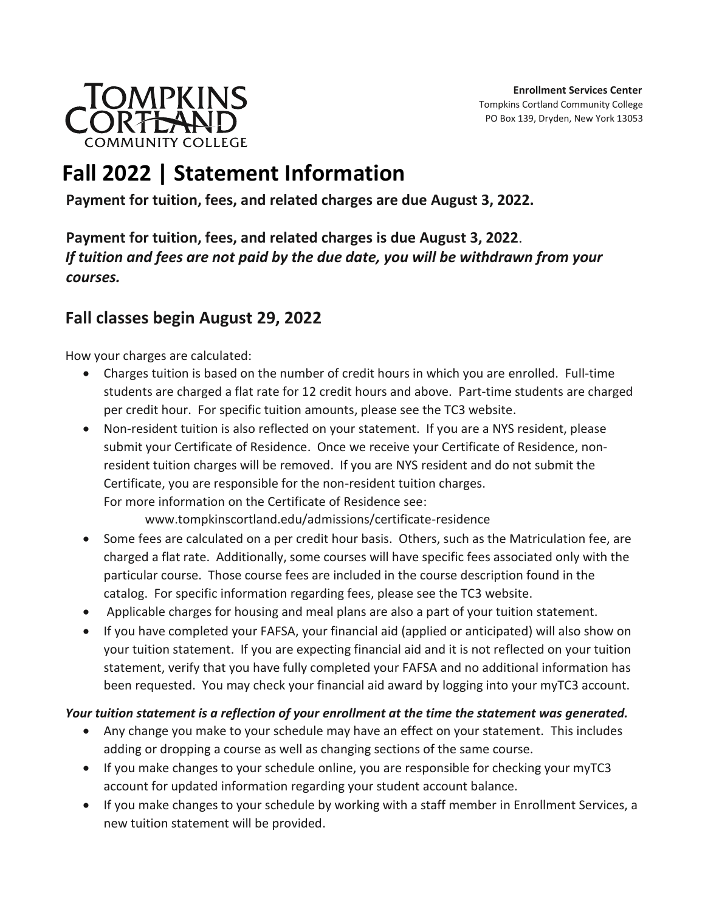

# **Fall 2022 | Statement Information**

**Payment for tuition, fees, and related charges are due August 3, 2022.**

**Payment for tuition, fees, and related charges is due August 3, 2022**. *If tuition and fees are not paid by the due date, you will be withdrawn from your courses.*

## **Fall classes begin August 29, 2022**

How your charges are calculated:

- Charges tuition is based on the number of credit hours in which you are enrolled. Full-time students are charged a flat rate for 12 credit hours and above. Part-time students are charged per credit hour. For specific tuition amounts, please see the TC3 website.
- Non-resident tuition is also reflected on your statement. If you are a NYS resident, please submit your Certificate of Residence. Once we receive your Certificate of Residence, nonresident tuition charges will be removed. If you are NYS resident and do not submit the Certificate, you are responsible for the non-resident tuition charges. For more information on the Certificate of Residence see:

www.tompkinscortland.edu/admissions/certificate-residence

- Some fees are calculated on a per credit hour basis. Others, such as the Matriculation fee, are charged a flat rate. Additionally, some courses will have specific fees associated only with the particular course. Those course fees are included in the course description found in the catalog. For specific information regarding fees, please see the TC3 website.
- Applicable charges for housing and meal plans are also a part of your tuition statement.
- If you have completed your FAFSA, your financial aid (applied or anticipated) will also show on your tuition statement. If you are expecting financial aid and it is not reflected on your tuition statement, verify that you have fully completed your FAFSA and no additional information has been requested. You may check your financial aid award by logging into your myTC3 account.

### *Your tuition statement is a reflection of your enrollment at the time the statement was generated.*

- Any change you make to your schedule may have an effect on your statement. This includes adding or dropping a course as well as changing sections of the same course.
- If you make changes to your schedule online, you are responsible for checking your myTC3 account for updated information regarding your student account balance.
- If you make changes to your schedule by working with a staff member in Enrollment Services, a new tuition statement will be provided.